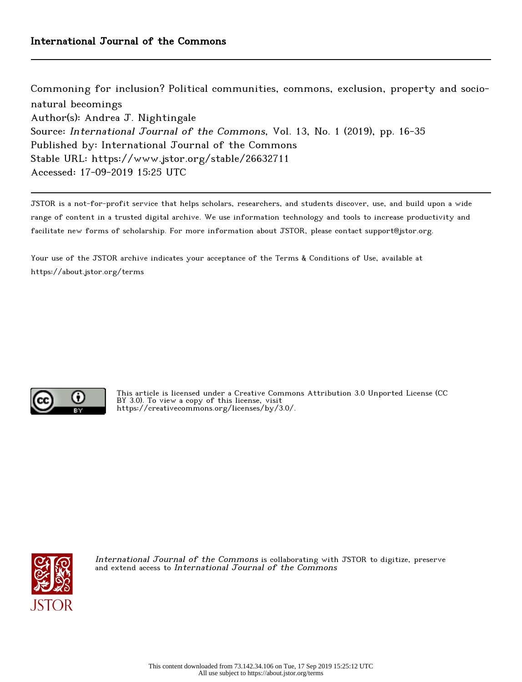Commoning for inclusion? Political communities, commons, exclusion, property and socionatural becomings Author(s): Andrea J. Nightingale Source: International Journal of the Commons, Vol. 13, No. 1 (2019), pp. 16-35 Published by: International Journal of the Commons Stable URL: https://www.jstor.org/stable/26632711 Accessed: 17-09-2019 15:25 UTC

JSTOR is a not-for-profit service that helps scholars, researchers, and students discover, use, and build upon a wide range of content in a trusted digital archive. We use information technology and tools to increase productivity and facilitate new forms of scholarship. For more information about JSTOR, please contact support@jstor.org.

Your use of the JSTOR archive indicates your acceptance of the Terms & Conditions of Use, available at https://about.jstor.org/terms



This article is licensed under a Creative Commons Attribution 3.0 Unported License (CC BY 3.0). To view a copy of this license, visit https://creativecommons.org/licenses/by/3.0/.



International Journal of the Commons is collaborating with JSTOR to digitize, preserve and extend access to International Journal of the Commons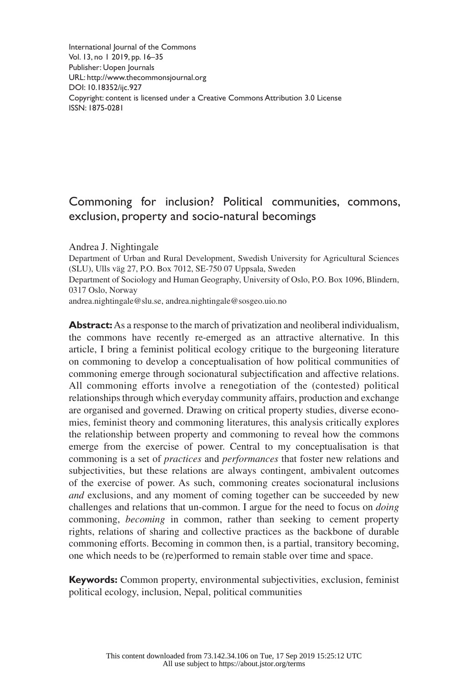International Journal of the Commons Vol. 13, no 1 2019, pp. 16–35 Publisher: Uopen Journals URL: <http://www.thecommonsjournal.org> [DOI: 10.18352/ijc.927](http://doi.org/10.18352/ijc.927) Copyright: content is licensed under a Creative Commons Attribution 3.0 License ISSN: 1875-0281

# Commoning for inclusion? Political communities, commons, exclusion, property and socio-natural becomings

#### Andrea J. Nightingale

Department of Urban and Rural Development, Swedish University for Agricultural Sciences (SLU), Ulls väg 27, P.O. Box 7012, SE-750 07 Uppsala, Sweden Department of Sociology and Human Geography, University of Oslo, P.O. Box 1096, Blindern, 0317 Oslo, Norway

[andrea.nightingale@slu.se](mailto:andrea.nightingale@slu.se), [andrea.nightingale@sosgeo.uio.](mailto:andrea.nightingale@sosgeo.uio)no

**Abstract:** As a response to the march of privatization and neoliberal individualism, the commons have recently re-emerged as an attractive alternative. In this article, I bring a feminist political ecology critique to the burgeoning literature on commoning to develop a conceptualisation of how political communities of commoning emerge through socionatural subjectification and affective relations. All commoning efforts involve a renegotiation of the (contested) political relationships through which everyday community affairs, production and exchange are organised and governed. Drawing on critical property studies, diverse economies, feminist theory and commoning literatures, this analysis critically explores the relationship between property and commoning to reveal how the commons emerge from the exercise of power. Central to my conceptualisation is that commoning is a set of *practices* and *performances* that foster new relations and subjectivities, but these relations are always contingent, ambivalent outcomes of the exercise of power. As such, commoning creates socionatural inclusions *and* exclusions, and any moment of coming together can be succeeded by new challenges and relations that un-common. I argue for the need to focus on *doing* commoning, *becoming* in common, rather than seeking to cement property rights, relations of sharing and collective practices as the backbone of durable commoning efforts. Becoming in common then, is a partial, transitory becoming, one which needs to be (re)performed to remain stable over time and space.

**Keywords:** Common property, environmental subjectivities, exclusion, feminist political ecology, inclusion, Nepal, political communities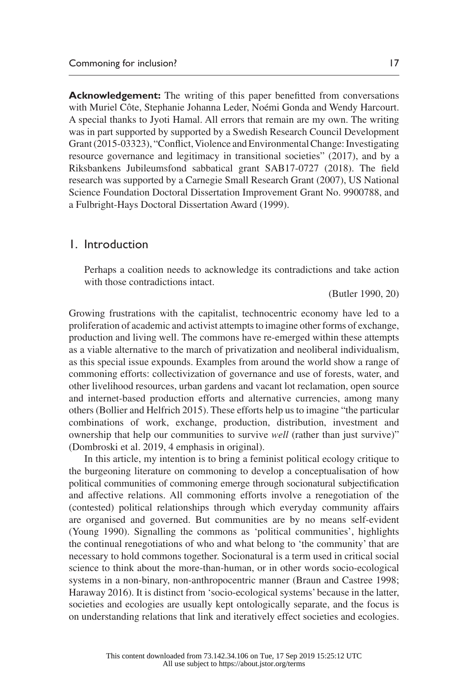**Acknowledgement:** The writing of this paper benefitted from conversations with Muriel Côte, Stephanie Johanna Leder, Noémi Gonda and Wendy Harcourt. A special thanks to Jyoti Hamal. All errors that remain are my own. The writing was in part supported by supported by a Swedish Research Council Development Grant (2015-03323), "Conflict, Violence and Environmental Change: Investigating resource governance and legitimacy in transitional societies" (2017), and by a Riksbankens Jubileumsfond sabbatical grant SAB17-0727 (2018). The field research was supported by a Carnegie Small Research Grant (2007), US National Science Foundation Doctoral Dissertation Improvement Grant No. 9900788, and a Fulbright-Hays Doctoral Dissertation Award (1999).

#### 1. Introduction

Perhaps a coalition needs to acknowledge its contradictions and take action with those contradictions intact.

(Butler 1990, 20)

Growing frustrations with the capitalist, technocentric economy have led to a proliferation of academic and activist attempts to imagine other forms of exchange, production and living well. The commons have re-emerged within these attempts as a viable alternative to the march of privatization and neoliberal individualism, as this special issue expounds. Examples from around the world show a range of commoning efforts: collectivization of governance and use of forests, water, and other livelihood resources, urban gardens and vacant lot reclamation, open source and internet-based production efforts and alternative currencies, among many others (Bollier and Helfrich 2015). These efforts help us to imagine "the particular combinations of work, exchange, production, distribution, investment and ownership that help our communities to survive *well* (rather than just survive)" (Dombroski et al. 2019, 4 emphasis in original).

In this article, my intention is to bring a feminist political ecology critique to the burgeoning literature on commoning to develop a conceptualisation of how political communities of commoning emerge through socionatural subjectification and affective relations. All commoning efforts involve a renegotiation of the (contested) political relationships through which everyday community affairs are organised and governed. But communities are by no means self-evident (Young 1990). Signalling the commons as 'political communities', highlights the continual renegotiations of who and what belong to 'the community' that are necessary to hold commons together. Socionatural is a term used in critical social science to think about the more-than-human, or in other words socio-ecological systems in a non-binary, non-anthropocentric manner (Braun and Castree 1998; Haraway 2016). It is distinct from 'socio-ecological systems' because in the latter, societies and ecologies are usually kept ontologically separate, and the focus is on understanding relations that link and iteratively effect societies and ecologies.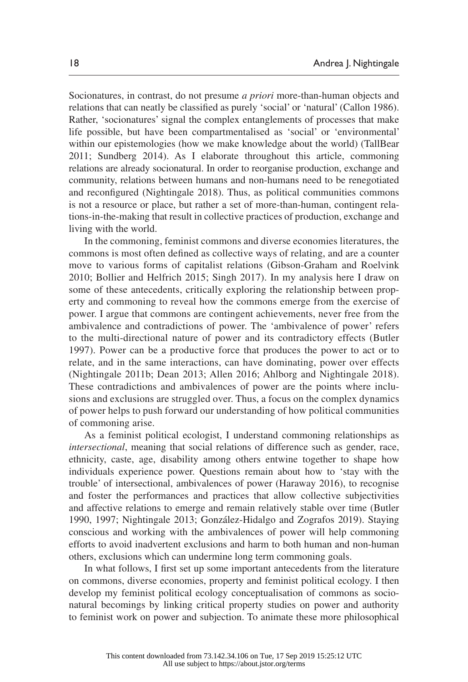Socionatures, in contrast, do not presume *a priori* more-than-human objects and relations that can neatly be classified as purely 'social' or 'natural' (Callon 1986). Rather, 'socionatures' signal the complex entanglements of processes that make life possible, but have been compartmentalised as 'social' or 'environmental' within our epistemologies (how we make knowledge about the world) (TallBear 2011; Sundberg 2014). As I elaborate throughout this article, commoning relations are already socionatural. In order to reorganise production, exchange and community, relations between humans and non-humans need to be renegotiated and reconfigured (Nightingale 2018). Thus, as political communities commons is not a resource or place, but rather a set of more-than-human, contingent relations-in-the-making that result in collective practices of production, exchange and living with the world.

In the commoning, feminist commons and diverse economies literatures, the commons is most often defined as collective ways of relating, and are a counter move to various forms of capitalist relations (Gibson-Graham and Roelvink 2010; Bollier and Helfrich 2015; Singh 2017). In my analysis here I draw on some of these antecedents, critically exploring the relationship between property and commoning to reveal how the commons emerge from the exercise of power. I argue that commons are contingent achievements, never free from the ambivalence and contradictions of power. The 'ambivalence of power' refers to the multi-directional nature of power and its contradictory effects (Butler 1997). Power can be a productive force that produces the power to act or to relate, and in the same interactions, can have dominating, power over effects (Nightingale 2011b; Dean 2013; Allen 2016; Ahlborg and Nightingale 2018). These contradictions and ambivalences of power are the points where inclusions and exclusions are struggled over. Thus, a focus on the complex dynamics of power helps to push forward our understanding of how political communities of commoning arise.

As a feminist political ecologist, I understand commoning relationships as *intersectional*, meaning that social relations of difference such as gender, race, ethnicity, caste, age, disability among others entwine together to shape how individuals experience power. Questions remain about how to 'stay with the trouble' of intersectional, ambivalences of power (Haraway 2016), to recognise and foster the performances and practices that allow collective subjectivities and affective relations to emerge and remain relatively stable over time (Butler 1990, 1997; Nightingale 2013; González-Hidalgo and Zografos 2019). Staying conscious and working with the ambivalences of power will help commoning efforts to avoid inadvertent exclusions and harm to both human and non-human others, exclusions which can undermine long term commoning goals.

In what follows, I first set up some important antecedents from the literature on commons, diverse economies, property and feminist political ecology. I then develop my feminist political ecology conceptualisation of commons as socionatural becomings by linking critical property studies on power and authority to feminist work on power and subjection. To animate these more philosophical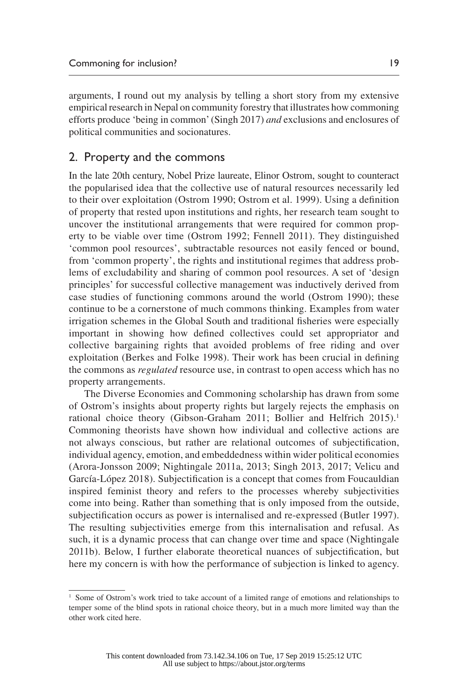arguments, I round out my analysis by telling a short story from my extensive empirical research in Nepal on community forestry that illustrates how commoning efforts produce 'being in common' (Singh 2017) *and* exclusions and enclosures of political communities and socionatures.

### 2. Property and the commons

In the late 20th century, Nobel Prize laureate, Elinor Ostrom, sought to counteract the popularised idea that the collective use of natural resources necessarily led to their over exploitation (Ostrom 1990; Ostrom et al. 1999). Using a definition of property that rested upon institutions and rights, her research team sought to uncover the institutional arrangements that were required for common property to be viable over time (Ostrom 1992; Fennell 2011). They distinguished 'common pool resources', subtractable resources not easily fenced or bound, from 'common property', the rights and institutional regimes that address problems of excludability and sharing of common pool resources. A set of 'design principles' for successful collective management was inductively derived from case studies of functioning commons around the world (Ostrom 1990); these continue to be a cornerstone of much commons thinking. Examples from water irrigation schemes in the Global South and traditional fisheries were especially important in showing how defined collectives could set appropriator and collective bargaining rights that avoided problems of free riding and over exploitation (Berkes and Folke 1998). Their work has been crucial in defining the commons as *regulated* resource use, in contrast to open access which has no property arrangements.

The Diverse Economies and Commoning scholarship has drawn from some of Ostrom's insights about property rights but largely rejects the emphasis on rational choice theory (Gibson-Graham 2011; Bollier and Helfrich 2015).<sup>1</sup> Commoning theorists have shown how individual and collective actions are not always conscious, but rather are relational outcomes of subjectification, individual agency, emotion, and embeddedness within wider political economies (Arora-Jonsson 2009; Nightingale 2011a, 2013; Singh 2013, 2017; Velicu and García-López 2018). Subjectification is a concept that comes from Foucauldian inspired feminist theory and refers to the processes whereby subjectivities come into being. Rather than something that is only imposed from the outside, subjectification occurs as power is internalised and re-expressed (Butler 1997). The resulting subjectivities emerge from this internalisation and refusal. As such, it is a dynamic process that can change over time and space (Nightingale 2011b). Below, I further elaborate theoretical nuances of subjectification, but here my concern is with how the performance of subjection is linked to agency.

<sup>&</sup>lt;sup>1</sup> Some of Ostrom's work tried to take account of a limited range of emotions and relationships to temper some of the blind spots in rational choice theory, but in a much more limited way than the other work cited here.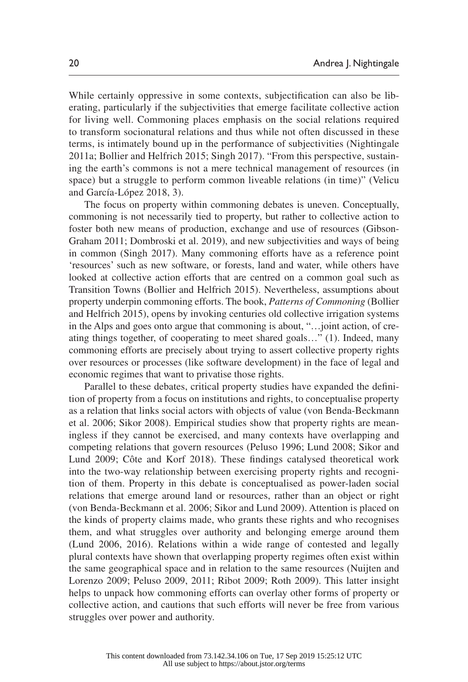While certainly oppressive in some contexts, subjectification can also be liberating, particularly if the subjectivities that emerge facilitate collective action for living well. Commoning places emphasis on the social relations required to transform socionatural relations and thus while not often discussed in these terms, is intimately bound up in the performance of subjectivities (Nightingale 2011a; Bollier and Helfrich 2015; Singh 2017). "From this perspective, sustaining the earth's commons is not a mere technical management of resources (in space) but a struggle to perform common liveable relations (in time)" (Velicu and García-López 2018, 3).

The focus on property within commoning debates is uneven. Conceptually, commoning is not necessarily tied to property, but rather to collective action to foster both new means of production, exchange and use of resources (Gibson-Graham 2011; Dombroski et al. 2019), and new subjectivities and ways of being in common (Singh 2017). Many commoning efforts have as a reference point 'resources' such as new software, or forests, land and water, while others have looked at collective action efforts that are centred on a common goal such as Transition Towns (Bollier and Helfrich 2015). Nevertheless, assumptions about property underpin commoning efforts. The book, *Patterns of Commoning* (Bollier and Helfrich 2015), opens by invoking centuries old collective irrigation systems in the Alps and goes onto argue that commoning is about, "…joint action, of creating things together, of cooperating to meet shared goals…" (1). Indeed, many commoning efforts are precisely about trying to assert collective property rights over resources or processes (like software development) in the face of legal and economic regimes that want to privatise those rights.

Parallel to these debates, critical property studies have expanded the definition of property from a focus on institutions and rights, to conceptualise property as a relation that links social actors with objects of value (von Benda-Beckmann et al. 2006; Sikor 2008). Empirical studies show that property rights are meaningless if they cannot be exercised, and many contexts have overlapping and competing relations that govern resources (Peluso 1996; Lund 2008; Sikor and Lund 2009; Côte and Korf 2018). These findings catalysed theoretical work into the two-way relationship between exercising property rights and recognition of them. Property in this debate is conceptualised as power-laden social relations that emerge around land or resources, rather than an object or right (von Benda-Beckmann et al. 2006; Sikor and Lund 2009). Attention is placed on the kinds of property claims made, who grants these rights and who recognises them, and what struggles over authority and belonging emerge around them (Lund 2006, 2016). Relations within a wide range of contested and legally plural contexts have shown that overlapping property regimes often exist within the same geographical space and in relation to the same resources (Nuijten and Lorenzo 2009; Peluso 2009, 2011; Ribot 2009; Roth 2009). This latter insight helps to unpack how commoning efforts can overlay other forms of property or collective action, and cautions that such efforts will never be free from various struggles over power and authority.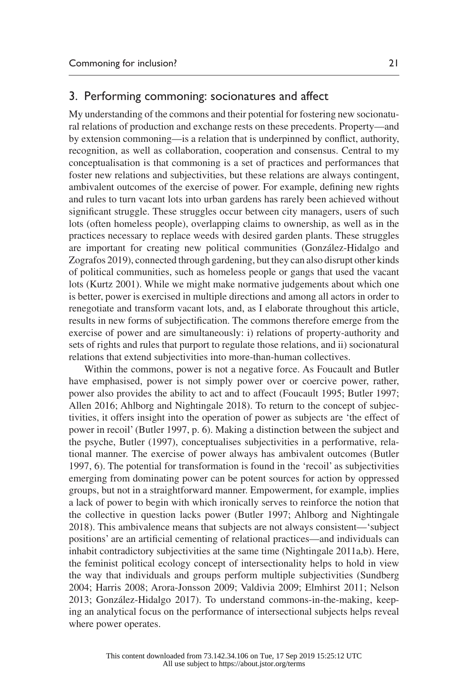## 3. Performing commoning: socionatures and affect

My understanding of the commons and their potential for fostering new socionatural relations of production and exchange rests on these precedents. Property—and by extension commoning—is a relation that is underpinned by conflict, authority, recognition, as well as collaboration, cooperation and consensus. Central to my conceptualisation is that commoning is a set of practices and performances that foster new relations and subjectivities, but these relations are always contingent, ambivalent outcomes of the exercise of power. For example, defining new rights and rules to turn vacant lots into urban gardens has rarely been achieved without significant struggle. These struggles occur between city managers, users of such lots (often homeless people), overlapping claims to ownership, as well as in the practices necessary to replace weeds with desired garden plants. These struggles are important for creating new political communities (González-Hidalgo and Zografos 2019), connected through gardening, but they can also disrupt other kinds of political communities, such as homeless people or gangs that used the vacant lots (Kurtz 2001). While we might make normative judgements about which one is better, power is exercised in multiple directions and among all actors in order to renegotiate and transform vacant lots, and, as I elaborate throughout this article, results in new forms of subjectification. The commons therefore emerge from the exercise of power and are simultaneously: i) relations of property-authority and sets of rights and rules that purport to regulate those relations, and ii) socionatural relations that extend subjectivities into more-than-human collectives.

Within the commons, power is not a negative force. As Foucault and Butler have emphasised, power is not simply power over or coercive power, rather, power also provides the ability to act and to affect (Foucault 1995; Butler 1997; Allen 2016; Ahlborg and Nightingale 2018). To return to the concept of subjectivities, it offers insight into the operation of power as subjects are 'the effect of power in recoil' (Butler 1997, p. 6). Making a distinction between the subject and the psyche, Butler (1997), conceptualises subjectivities in a performative, relational manner. The exercise of power always has ambivalent outcomes (Butler 1997, 6). The potential for transformation is found in the 'recoil' as subjectivities emerging from dominating power can be potent sources for action by oppressed groups, but not in a straightforward manner. Empowerment, for example, implies a lack of power to begin with which ironically serves to reinforce the notion that the collective in question lacks power (Butler 1997; Ahlborg and Nightingale 2018). This ambivalence means that subjects are not always consistent—'subject positions' are an artificial cementing of relational practices—and individuals can inhabit contradictory subjectivities at the same time (Nightingale 2011a,b). Here, the feminist political ecology concept of intersectionality helps to hold in view the way that individuals and groups perform multiple subjectivities (Sundberg 2004; Harris 2008; Arora-Jonsson 2009; Valdivia 2009; Elmhirst 2011; Nelson 2013; González-Hidalgo 2017). To understand commons-in-the-making, keeping an analytical focus on the performance of intersectional subjects helps reveal where power operates.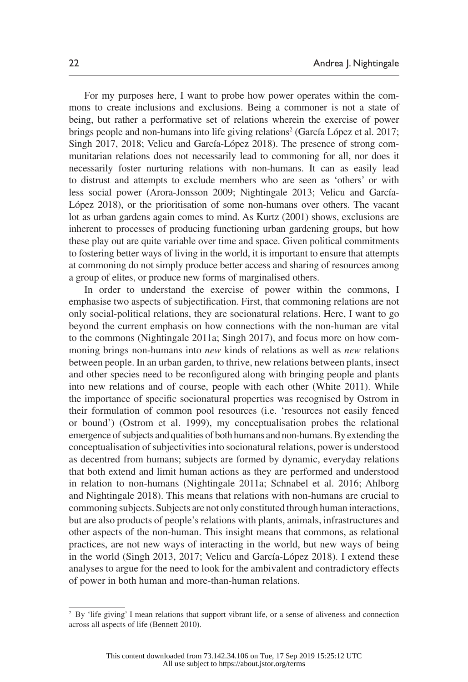For my purposes here, I want to probe how power operates within the commons to create inclusions and exclusions. Being a commoner is not a state of being, but rather a performative set of relations wherein the exercise of power brings people and non-humans into life giving relations<sup>2</sup> (García López et al. 2017; Singh 2017, 2018; Velicu and García-López 2018). The presence of strong communitarian relations does not necessarily lead to commoning for all, nor does it necessarily foster nurturing relations with non-humans. It can as easily lead to distrust and attempts to exclude members who are seen as 'others' or with less social power (Arora-Jonsson 2009; Nightingale 2013; Velicu and García-López 2018), or the prioritisation of some non-humans over others. The vacant lot as urban gardens again comes to mind. As Kurtz (2001) shows, exclusions are inherent to processes of producing functioning urban gardening groups, but how these play out are quite variable over time and space. Given political commitments to fostering better ways of living in the world, it is important to ensure that attempts at commoning do not simply produce better access and sharing of resources among a group of elites, or produce new forms of marginalised others.

In order to understand the exercise of power within the commons, I emphasise two aspects of subjectification. First, that commoning relations are not only social-political relations, they are socionatural relations. Here, I want to go beyond the current emphasis on how connections with the non-human are vital to the commons (Nightingale 2011a; Singh 2017), and focus more on how commoning brings non-humans into *new* kinds of relations as well as *new* relations between people. In an urban garden, to thrive, new relations between plants, insect and other species need to be reconfigured along with bringing people and plants into new relations and of course, people with each other (White 2011). While the importance of specific socionatural properties was recognised by Ostrom in their formulation of common pool resources (i.e. 'resources not easily fenced or bound') (Ostrom et al. 1999), my conceptualisation probes the relational emergence of subjects and qualities of both humans and non-humans. By extending the conceptualisation of subjectivities into socionatural relations, power is understood as decentred from humans; subjects are formed by dynamic, everyday relations that both extend and limit human actions as they are performed and understood in relation to non-humans (Nightingale 2011a; Schnabel et al. 2016; Ahlborg and Nightingale 2018). This means that relations with non-humans are crucial to commoning subjects. Subjects are not only constituted through human interactions, but are also products of people's relations with plants, animals, infrastructures and other aspects of the non-human. This insight means that commons, as relational practices, are not new ways of interacting in the world, but new ways of being in the world (Singh 2013, 2017; Velicu and García-López 2018). I extend these analyses to argue for the need to look for the ambivalent and contradictory effects of power in both human and more-than-human relations.

<sup>&</sup>lt;sup>2</sup> By 'life giving' I mean relations that support vibrant life, or a sense of aliveness and connection across all aspects of life (Bennett 2010).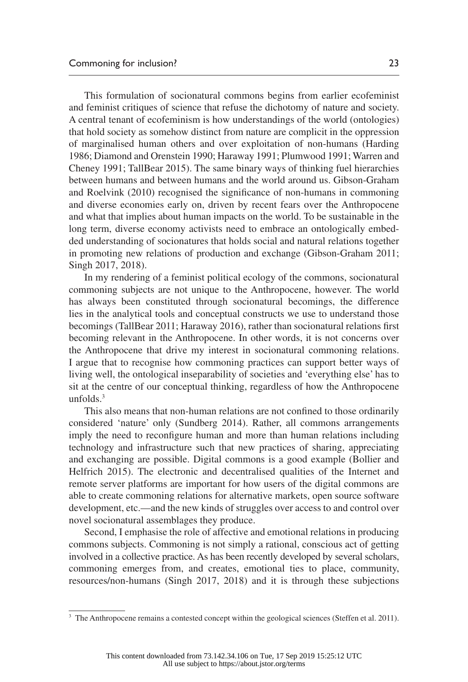This formulation of socionatural commons begins from earlier ecofeminist and feminist critiques of science that refuse the dichotomy of nature and society. A central tenant of ecofeminism is how understandings of the world (ontologies) that hold society as somehow distinct from nature are complicit in the oppression of marginalised human others and over exploitation of non-humans (Harding 1986; Diamond and Orenstein 1990; Haraway 1991; Plumwood 1991; Warren and Cheney 1991; TallBear 2015). The same binary ways of thinking fuel hierarchies between humans and between humans and the world around us. Gibson-Graham and Roelvink (2010) recognised the significance of non-humans in commoning and diverse economies early on, driven by recent fears over the Anthropocene and what that implies about human impacts on the world. To be sustainable in the long term, diverse economy activists need to embrace an ontologically embedded understanding of socionatures that holds social and natural relations together in promoting new relations of production and exchange (Gibson-Graham 2011; Singh 2017, 2018).

In my rendering of a feminist political ecology of the commons, socionatural commoning subjects are not unique to the Anthropocene, however. The world has always been constituted through socionatural becomings, the difference lies in the analytical tools and conceptual constructs we use to understand those becomings (TallBear 2011; Haraway 2016), rather than socionatural relations first becoming relevant in the Anthropocene. In other words, it is not concerns over the Anthropocene that drive my interest in socionatural commoning relations. I argue that to recognise how commoning practices can support better ways of living well, the ontological inseparability of societies and 'everything else' has to sit at the centre of our conceptual thinking, regardless of how the Anthropocene unfolds.3

This also means that non-human relations are not confined to those ordinarily considered 'nature' only (Sundberg 2014). Rather, all commons arrangements imply the need to reconfigure human and more than human relations including technology and infrastructure such that new practices of sharing, appreciating and exchanging are possible. Digital commons is a good example (Bollier and Helfrich 2015). The electronic and decentralised qualities of the Internet and remote server platforms are important for how users of the digital commons are able to create commoning relations for alternative markets, open source software development, etc.—and the new kinds of struggles over access to and control over novel socionatural assemblages they produce.

Second, I emphasise the role of affective and emotional relations in producing commons subjects. Commoning is not simply a rational, conscious act of getting involved in a collective practice. As has been recently developed by several scholars, commoning emerges from, and creates, emotional ties to place, community, resources/non-humans (Singh 2017, 2018) and it is through these subjections

<sup>&</sup>lt;sup>3</sup> The Anthropocene remains a contested concept within the geological sciences (Steffen et al. 2011).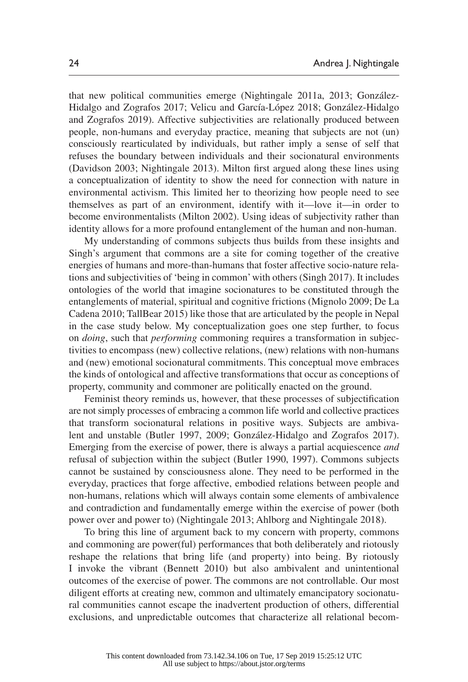that new political communities emerge (Nightingale 2011a, 2013; González-Hidalgo and Zografos 2017; Velicu and García-López 2018; González-Hidalgo and Zografos 2019). Affective subjectivities are relationally produced between people, non-humans and everyday practice, meaning that subjects are not (un) consciously rearticulated by individuals, but rather imply a sense of self that refuses the boundary between individuals and their socionatural environments (Davidson 2003; Nightingale 2013). Milton first argued along these lines using a conceptualization of identity to show the need for connection with nature in environmental activism. This limited her to theorizing how people need to see themselves as part of an environment, identify with it—love it—in order to become environmentalists (Milton 2002). Using ideas of subjectivity rather than identity allows for a more profound entanglement of the human and non-human.

My understanding of commons subjects thus builds from these insights and Singh's argument that commons are a site for coming together of the creative energies of humans and more-than-humans that foster affective socio-nature relations and subjectivities of 'being in common' with others (Singh 2017). It includes ontologies of the world that imagine socionatures to be constituted through the entanglements of material, spiritual and cognitive frictions (Mignolo 2009; De La Cadena 2010; TallBear 2015) like those that are articulated by the people in Nepal in the case study below. My conceptualization goes one step further, to focus on *doing*, such that *performing* commoning requires a transformation in subjectivities to encompass (new) collective relations, (new) relations with non-humans and (new) emotional socionatural commitments. This conceptual move embraces the kinds of ontological and affective transformations that occur as conceptions of property, community and commoner are politically enacted on the ground.

Feminist theory reminds us, however, that these processes of subjectification are not simply processes of embracing a common life world and collective practices that transform socionatural relations in positive ways. Subjects are ambivalent and unstable (Butler 1997, 2009; González-Hidalgo and Zografos 2017). Emerging from the exercise of power, there is always a partial acquiescence *and* refusal of subjection within the subject (Butler 1990, 1997). Commons subjects cannot be sustained by consciousness alone. They need to be performed in the everyday, practices that forge affective, embodied relations between people and non-humans, relations which will always contain some elements of ambivalence and contradiction and fundamentally emerge within the exercise of power (both power over and power to) (Nightingale 2013; Ahlborg and Nightingale 2018).

To bring this line of argument back to my concern with property, commons and commoning are power(ful) performances that both deliberately and riotously reshape the relations that bring life (and property) into being. By riotously I invoke the vibrant (Bennett 2010) but also ambivalent and unintentional outcomes of the exercise of power. The commons are not controllable. Our most diligent efforts at creating new, common and ultimately emancipatory socionatural communities cannot escape the inadvertent production of others, differential exclusions, and unpredictable outcomes that characterize all relational becom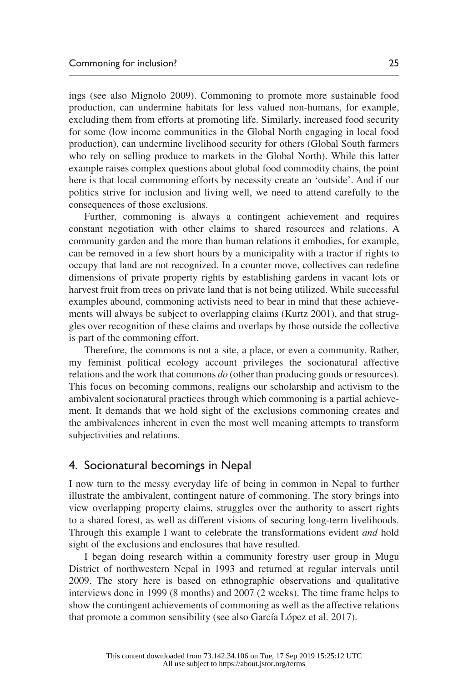ings (see also Mignolo 2009). Commoning to promote more sustainable food production, can undermine habitats for less valued non-humans, for example, excluding them from efforts at promoting life. Similarly, increased food security for some (low income communities in the Global North engaging in local food production), can undermine livelihood security for others (Global South farmers who rely on selling produce to markets in the Global North). While this latter example raises complex questions about global food commodity chains, the point here is that local commoning efforts by necessity create an 'outside'. And if our politics strive for inclusion and living well, we need to attend carefully to the consequences of those exclusions.

Further, commoning is always a contingent achievement and requires constant negotiation with other claims to shared resources and relations. A community garden and the more than human relations it embodies, for example, can be removed in a few short hours by a municipality with a tractor if rights to occupy that land are not recognized. In a counter move, collectives can redefine dimensions of private property rights by establishing gardens in vacant lots or harvest fruit from trees on private land that is not being utilized. While successful examples abound, commoning activists need to bear in mind that these achievements will always be subject to overlapping claims (Kurtz 2001), and that struggles over recognition of these claims and overlaps by those outside the collective is part of the commoning effort.

Therefore, the commons is not a site, a place, or even a community. Rather, my feminist political ecology account privileges the socionatural affective relations and the work that commons *do* (other than producing goods or resources). This focus on becoming commons, realigns our scholarship and activism to the ambivalent socionatural practices through which commoning is a partial achievement. It demands that we hold sight of the exclusions commoning creates and the ambivalences inherent in even the most well meaning attempts to transform subjectivities and relations.

## 4. Socionatural becomings in Nepal

I now turn to the messy everyday life of being in common in Nepal to further illustrate the ambivalent, contingent nature of commoning. The story brings into view overlapping property claims, struggles over the authority to assert rights to a shared forest, as well as different visions of securing long-term livelihoods. Through this example I want to celebrate the transformations evident *and* hold sight of the exclusions and enclosures that have resulted.

I began doing research within a community forestry user group in Mugu District of northwestern Nepal in 1993 and returned at regular intervals until 2009. The story here is based on ethnographic observations and qualitative interviews done in 1999 (8 months) and 2007 (2 weeks). The time frame helps to show the contingent achievements of commoning as well as the affective relations that promote a common sensibility (see also García López et al. 2017).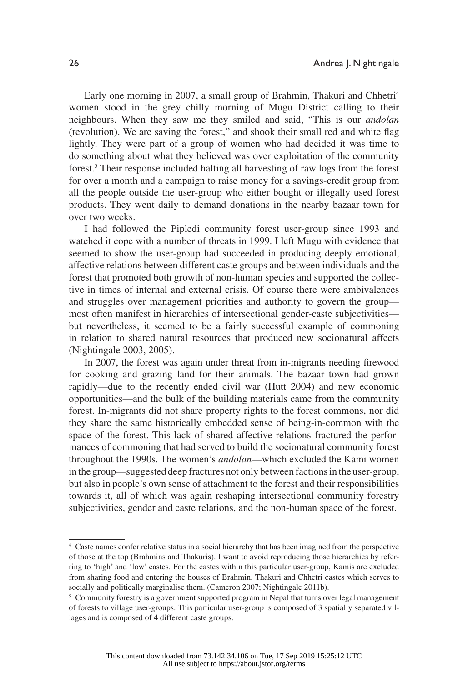Early one morning in 2007, a small group of Brahmin, Thakuri and Chhetri<sup>4</sup> women stood in the grey chilly morning of Mugu District calling to their neighbours. When they saw me they smiled and said, "This is our *andolan*  (revolution). We are saving the forest," and shook their small red and white flag lightly. They were part of a group of women who had decided it was time to do something about what they believed was over exploitation of the community forest.<sup>5</sup> Their response included halting all harvesting of raw logs from the forest for over a month and a campaign to raise money for a savings-credit group from all the people outside the user-group who either bought or illegally used forest products. They went daily to demand donations in the nearby bazaar town for over two weeks.

I had followed the Pipledi community forest user-group since 1993 and watched it cope with a number of threats in 1999. I left Mugu with evidence that seemed to show the user-group had succeeded in producing deeply emotional, affective relations between different caste groups and between individuals and the forest that promoted both growth of non-human species and supported the collective in times of internal and external crisis. Of course there were ambivalences and struggles over management priorities and authority to govern the group most often manifest in hierarchies of intersectional gender-caste subjectivities but nevertheless, it seemed to be a fairly successful example of commoning in relation to shared natural resources that produced new socionatural affects (Nightingale 2003, 2005).

In 2007, the forest was again under threat from in-migrants needing firewood for cooking and grazing land for their animals. The bazaar town had grown rapidly—due to the recently ended civil war (Hutt 2004) and new economic opportunities—and the bulk of the building materials came from the community forest. In-migrants did not share property rights to the forest commons, nor did they share the same historically embedded sense of being-in-common with the space of the forest. This lack of shared affective relations fractured the performances of commoning that had served to build the socionatural community forest throughout the 1990s. The women's *andolan*—which excluded the Kami women in the group—suggested deep fractures not only between factions in the user-group, but also in people's own sense of attachment to the forest and their responsibilities towards it, all of which was again reshaping intersectional community forestry subjectivities, gender and caste relations, and the non-human space of the forest.

<sup>4</sup> Caste names confer relative status in a social hierarchy that has been imagined from the perspective of those at the top (Brahmins and Thakuris). I want to avoid reproducing those hierarchies by referring to 'high' and 'low' castes. For the castes within this particular user-group, Kamis are excluded from sharing food and entering the houses of Brahmin, Thakuri and Chhetri castes which serves to socially and politically marginalise them. (Cameron 2007; Nightingale 2011b).

<sup>&</sup>lt;sup>5</sup> Community forestry is a government supported program in Nepal that turns over legal management of forests to village user-groups. This particular user-group is composed of 3 spatially separated villages and is composed of 4 different caste groups.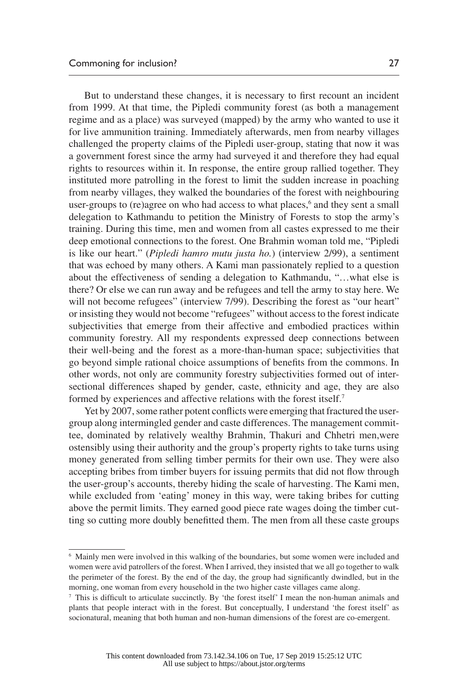But to understand these changes, it is necessary to first recount an incident from 1999. At that time, the Pipledi community forest (as both a management regime and as a place) was surveyed (mapped) by the army who wanted to use it for live ammunition training. Immediately afterwards, men from nearby villages challenged the property claims of the Pipledi user-group, stating that now it was a government forest since the army had surveyed it and therefore they had equal rights to resources within it. In response, the entire group rallied together. They instituted more patrolling in the forest to limit the sudden increase in poaching from nearby villages, they walked the boundaries of the forest with neighbouring user-groups to (re)agree on who had access to what places,<sup>6</sup> and they sent a small delegation to Kathmandu to petition the Ministry of Forests to stop the army's training. During this time, men and women from all castes expressed to me their deep emotional connections to the forest. One Brahmin woman told me, "Pipledi is like our heart." (*Pipledi hamro mutu justa ho.*) (interview 2/99), a sentiment that was echoed by many others. A Kami man passionately replied to a question about the effectiveness of sending a delegation to Kathmandu, "…what else is there? Or else we can run away and be refugees and tell the army to stay here. We will not become refugees" (interview 7/99). Describing the forest as "our heart" or insisting they would not become "refugees" without access to the forest indicate subjectivities that emerge from their affective and embodied practices within community forestry. All my respondents expressed deep connections between their well-being and the forest as a more-than-human space; subjectivities that go beyond simple rational choice assumptions of benefits from the commons. In other words, not only are community forestry subjectivities formed out of intersectional differences shaped by gender, caste, ethnicity and age, they are also formed by experiences and affective relations with the forest itself.7

Yet by 2007, some rather potent conflicts were emerging that fractured the usergroup along intermingled gender and caste differences. The management committee, dominated by relatively wealthy Brahmin, Thakuri and Chhetri men,were ostensibly using their authority and the group's property rights to take turns using money generated from selling timber permits for their own use. They were also accepting bribes from timber buyers for issuing permits that did not flow through the user-group's accounts, thereby hiding the scale of harvesting. The Kami men, while excluded from 'eating' money in this way, were taking bribes for cutting above the permit limits. They earned good piece rate wages doing the timber cutting so cutting more doubly benefitted them. The men from all these caste groups

<sup>6</sup> Mainly men were involved in this walking of the boundaries, but some women were included and women were avid patrollers of the forest. When I arrived, they insisted that we all go together to walk the perimeter of the forest. By the end of the day, the group had significantly dwindled, but in the morning, one woman from every household in the two higher caste villages came along.

 $^7$  This is difficult to articulate succinctly. By 'the forest itself' I mean the non-human animals and plants that people interact with in the forest. But conceptually, I understand 'the forest itself' as socionatural, meaning that both human and non-human dimensions of the forest are co-emergent.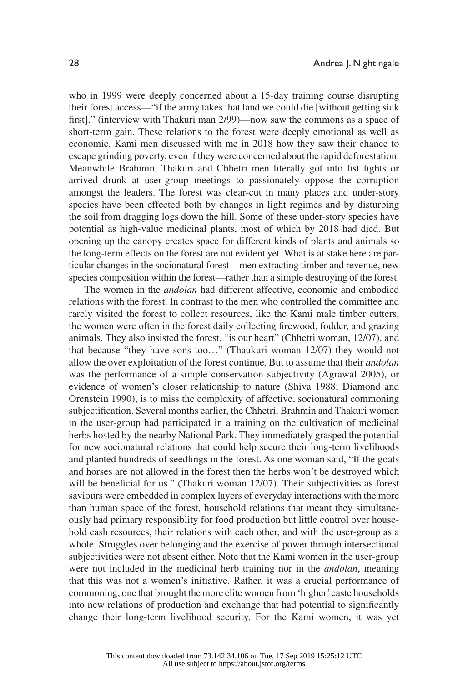who in 1999 were deeply concerned about a 15-day training course disrupting their forest access—"if the army takes that land we could die [without getting sick first]." (interview with Thakuri man 2/99)—now saw the commons as a space of short-term gain. These relations to the forest were deeply emotional as well as economic. Kami men discussed with me in 2018 how they saw their chance to escape grinding poverty, even if they were concerned about the rapid deforestation. Meanwhile Brahmin, Thakuri and Chhetri men literally got into fist fights or arrived drunk at user-group meetings to passionately oppose the corruption amongst the leaders. The forest was clear-cut in many places and under-story species have been effected both by changes in light regimes and by disturbing the soil from dragging logs down the hill. Some of these under-story species have potential as high-value medicinal plants, most of which by 2018 had died. But opening up the canopy creates space for different kinds of plants and animals so the long-term effects on the forest are not evident yet. What is at stake here are particular changes in the socionatural forest—men extracting timber and revenue, new species composition within the forest—rather than a simple destroying of the forest.

The women in the *andolan* had different affective, economic and embodied relations with the forest. In contrast to the men who controlled the committee and rarely visited the forest to collect resources, like the Kami male timber cutters, the women were often in the forest daily collecting firewood, fodder, and grazing animals. They also insisted the forest, "is our heart" (Chhetri woman, 12/07), and that because "they have sons too…" (Thaukuri woman 12/07) they would not allow the over exploitation of the forest continue. But to assume that their *andolan* was the performance of a simple conservation subjectivity (Agrawal 2005), or evidence of women's closer relationship to nature (Shiva 1988; Diamond and Orenstein 1990), is to miss the complexity of affective, socionatural commoning subjectification. Several months earlier, the Chhetri, Brahmin and Thakuri women in the user-group had participated in a training on the cultivation of medicinal herbs hosted by the nearby National Park. They immediately grasped the potential for new socionatural relations that could help secure their long-term livelihoods and planted hundreds of seedlings in the forest. As one woman said, "If the goats and horses are not allowed in the forest then the herbs won't be destroyed which will be beneficial for us." (Thakuri woman 12/07). Their subjectivities as forest saviours were embedded in complex layers of everyday interactions with the more than human space of the forest, household relations that meant they simultaneously had primary responsiblity for food production but little control over household cash resources, their relations with each other, and with the user-group as a whole. Struggles over belonging and the exercise of power through intersectional subjectivities were not absent either. Note that the Kami women in the user-group were not included in the medicinal herb training nor in the *andolan*, meaning that this was not a women's initiative. Rather, it was a crucial performance of commoning, one that brought the more elite women from 'higher' caste households into new relations of production and exchange that had potential to significantly change their long-term livelihood security. For the Kami women, it was yet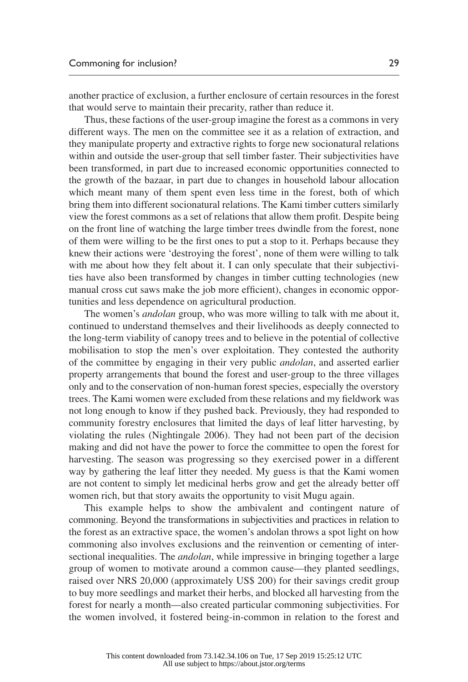another practice of exclusion, a further enclosure of certain resources in the forest that would serve to maintain their precarity, rather than reduce it.

Thus, these factions of the user-group imagine the forest as a commons in very different ways. The men on the committee see it as a relation of extraction, and they manipulate property and extractive rights to forge new socionatural relations within and outside the user-group that sell timber faster. Their subjectivities have been transformed, in part due to increased economic opportunities connected to the growth of the bazaar, in part due to changes in household labour allocation which meant many of them spent even less time in the forest, both of which bring them into different socionatural relations. The Kami timber cutters similarly view the forest commons as a set of relations that allow them profit. Despite being on the front line of watching the large timber trees dwindle from the forest, none of them were willing to be the first ones to put a stop to it. Perhaps because they knew their actions were 'destroying the forest', none of them were willing to talk with me about how they felt about it. I can only speculate that their subjectivities have also been transformed by changes in timber cutting technologies (new manual cross cut saws make the job more efficient), changes in economic opportunities and less dependence on agricultural production.

The women's *andolan* group, who was more willing to talk with me about it, continued to understand themselves and their livelihoods as deeply connected to the long-term viability of canopy trees and to believe in the potential of collective mobilisation to stop the men's over exploitation. They contested the authority of the committee by engaging in their very public *andolan*, and asserted earlier property arrangements that bound the forest and user-group to the three villages only and to the conservation of non-human forest species, especially the overstory trees. The Kami women were excluded from these relations and my fieldwork was not long enough to know if they pushed back. Previously, they had responded to community forestry enclosures that limited the days of leaf litter harvesting, by violating the rules (Nightingale 2006). They had not been part of the decision making and did not have the power to force the committee to open the forest for harvesting. The season was progressing so they exercised power in a different way by gathering the leaf litter they needed. My guess is that the Kami women are not content to simply let medicinal herbs grow and get the already better off women rich, but that story awaits the opportunity to visit Mugu again.

This example helps to show the ambivalent and contingent nature of commoning. Beyond the transformations in subjectivities and practices in relation to the forest as an extractive space, the women's andolan throws a spot light on how commoning also involves exclusions and the reinvention or cementing of intersectional inequalities. The *andolan*, while impressive in bringing together a large group of women to motivate around a common cause—they planted seedlings, raised over NRS 20,000 (approximately US\$ 200) for their savings credit group to buy more seedlings and market their herbs, and blocked all harvesting from the forest for nearly a month—also created particular commoning subjectivities. For the women involved, it fostered being-in-common in relation to the forest and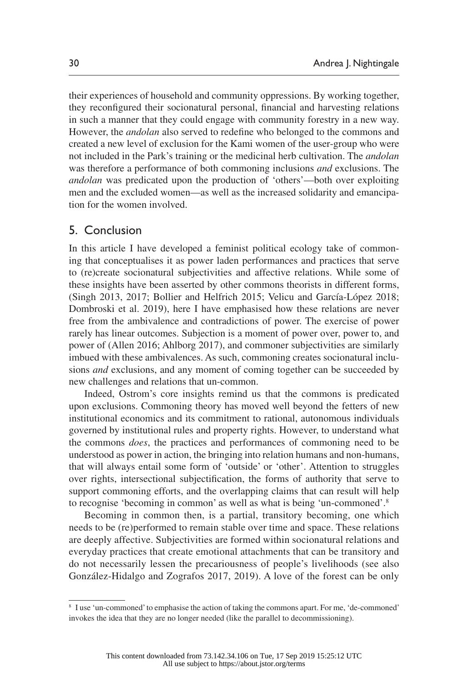their experiences of household and community oppressions. By working together, they reconfigured their socionatural personal, financial and harvesting relations in such a manner that they could engage with community forestry in a new way. However, the *andolan* also served to redefine who belonged to the commons and created a new level of exclusion for the Kami women of the user-group who were not included in the Park's training or the medicinal herb cultivation. The *andolan* was therefore a performance of both commoning inclusions *and* exclusions. The *andolan* was predicated upon the production of 'others'—both over exploiting men and the excluded women—as well as the increased solidarity and emancipation for the women involved.

#### 5. Conclusion

In this article I have developed a feminist political ecology take of commoning that conceptualises it as power laden performances and practices that serve to (re)create socionatural subjectivities and affective relations. While some of these insights have been asserted by other commons theorists in different forms, (Singh 2013, 2017; Bollier and Helfrich 2015; Velicu and García-López 2018; Dombroski et al. 2019), here I have emphasised how these relations are never free from the ambivalence and contradictions of power. The exercise of power rarely has linear outcomes. Subjection is a moment of power over, power to, and power of (Allen 2016; Ahlborg 2017), and commoner subjectivities are similarly imbued with these ambivalences. As such, commoning creates socionatural inclusions *and* exclusions, and any moment of coming together can be succeeded by new challenges and relations that un-common.

Indeed, Ostrom's core insights remind us that the commons is predicated upon exclusions. Commoning theory has moved well beyond the fetters of new institutional economics and its commitment to rational, autonomous individuals governed by institutional rules and property rights. However, to understand what the commons *does*, the practices and performances of commoning need to be understood as power in action, the bringing into relation humans and non-humans, that will always entail some form of 'outside' or 'other'. Attention to struggles over rights, intersectional subjectification, the forms of authority that serve to support commoning efforts, and the overlapping claims that can result will help to recognise 'becoming in common' as well as what is being 'un-commoned'.8

Becoming in common then, is a partial, transitory becoming, one which needs to be (re)performed to remain stable over time and space. These relations are deeply affective. Subjectivities are formed within socionatural relations and everyday practices that create emotional attachments that can be transitory and do not necessarily lessen the precariousness of people's livelihoods (see also González-Hidalgo and Zografos 2017, 2019). A love of the forest can be only

<sup>8</sup> I use 'un-commoned' to emphasise the action of taking the commons apart. For me, 'de-commoned' invokes the idea that they are no longer needed (like the parallel to decommissioning).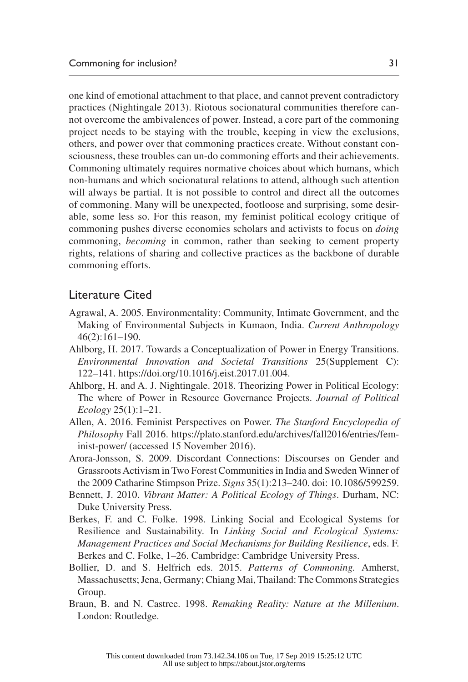one kind of emotional attachment to that place, and cannot prevent contradictory practices (Nightingale 2013). Riotous socionatural communities therefore cannot overcome the ambivalences of power. Instead, a core part of the commoning project needs to be staying with the trouble, keeping in view the exclusions, others, and power over that commoning practices create. Without constant consciousness, these troubles can un-do commoning efforts and their achievements. Commoning ultimately requires normative choices about which humans, which non-humans and which socionatural relations to attend, although such attention will always be partial. It is not possible to control and direct all the outcomes of commoning. Many will be unexpected, footloose and surprising, some desirable, some less so. For this reason, my feminist political ecology critique of commoning pushes diverse economies scholars and activists to focus on *doing* commoning, *becoming* in common, rather than seeking to cement property rights, relations of sharing and collective practices as the backbone of durable commoning efforts.

### Literature Cited

- Agrawal, A. 2005. Environmentality: Community, Intimate Government, and the Making of Environmental Subjects in Kumaon, India. *Current Anthropology* 46(2):161–190.
- Ahlborg, H. 2017. Towards a Conceptualization of Power in Energy Transitions. *Environmental Innovation and Societal Transitions* 25(Supplement C): 122–141. <https://doi.org/10.1016/j.eist.2017.01.004>.
- Ahlborg, H. and A. J. Nightingale. 2018. Theorizing Power in Political Ecology: The where of Power in Resource Governance Projects. *Journal of Political Ecology* 25(1):1–21.
- Allen, A. 2016. Feminist Perspectives on Power. *The Stanford Encyclopedia of Philosophy* Fall 2016. [https://plato.stanford.edu/archives/fall2016/entries/fem](https://plato.stanford.edu/archives/fall2016/entries/feminist-power/)[inist-power/](https://plato.stanford.edu/archives/fall2016/entries/feminist-power/) (accessed 15 November 2016).
- Arora-Jonsson, S. 2009. Discordant Connections: Discourses on Gender and Grassroots Activism in Two Forest Communities in India and Sweden Winner of the 2009 Catharine Stimpson Prize. *Signs* 35(1):213–240. doi: 10.1086/599259.
- Bennett, J. 2010. *Vibrant Matter: A Political Ecology of Things*. Durham, NC: Duke University Press.
- Berkes, F. and C. Folke. 1998. Linking Social and Ecological Systems for Resilience and Sustainability. In *Linking Social and Ecological Systems: Management Practices and Social Mechanisms for Building Resilience*, eds. F. Berkes and C. Folke, 1–26. Cambridge: Cambridge University Press.
- Bollier, D. and S. Helfrich eds. 2015. *Patterns of Commoning.* Amherst, Massachusetts; Jena, Germany; Chiang Mai, Thailand: The Commons Strategies Group.
- Braun, B. and N. Castree. 1998. *Remaking Reality: Nature at the Millenium*. London: Routledge.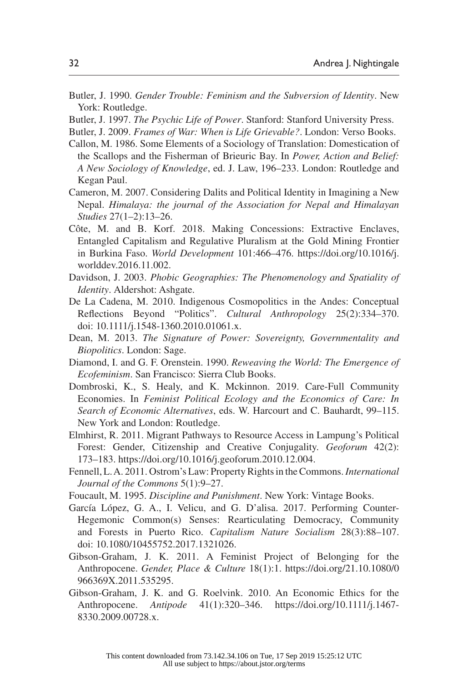- Butler, J. 1990. *Gender Trouble: Feminism and the Subversion of Identity*. New York: Routledge.
- Butler, J. 1997. *The Psychic Life of Power*. Stanford: Stanford University Press.
- Butler, J. 2009. *Frames of War: When is Life Grievable?*. London: Verso Books.
- Callon, M. 1986. Some Elements of a Sociology of Translation: Domestication of the Scallops and the Fisherman of Brieuric Bay. In *Power, Action and Belief: A New Sociology of Knowledge*, ed. J. Law, 196–233. London: Routledge and Kegan Paul.
- Cameron, M. 2007. Considering Dalits and Political Identity in Imagining a New Nepal. *Himalaya: the journal of the Association for Nepal and Himalayan Studies* 27(1–2):13–26.
- Côte, M. and B. Korf. 2018. Making Concessions: Extractive Enclaves, Entangled Capitalism and Regulative Pluralism at the Gold Mining Frontier in Burkina Faso. *World Development* 101:466–476. [https://doi.org/10.1016/j.](https://doi.org/10.1016/j.worlddev.2016.11.002) [worlddev.2016.11.002.](https://doi.org/10.1016/j.worlddev.2016.11.002)
- Davidson, J. 2003. *Phobic Geographies: The Phenomenology and Spatiality of Identity*. Aldershot: Ashgate.
- De La Cadena, M. 2010. Indigenous Cosmopolitics in the Andes: Conceptual Reflections Beyond "Politics". *Cultural Anthropology* 25(2):334–370. doi: 10.1111/j.1548-1360.2010.01061.x.
- Dean, M. 2013. *The Signature of Power: Sovereignty, Governmentality and Biopolitics*. London: Sage.
- Diamond, I. and G. F. Orenstein. 1990. *Reweaving the World: The Emergence of Ecofeminism*. San Francisco: Sierra Club Books.
- Dombroski, K., S. Healy, and K. Mckinnon. 2019. Care-Full Community Economies. In *Feminist Political Ecology and the Economics of Care: In Search of Economic Alternatives*, eds. W. Harcourt and C. Bauhardt, 99–115. New York and London: Routledge.
- Elmhirst, R. 2011. Migrant Pathways to Resource Access in Lampung's Political Forest: Gender, Citizenship and Creative Conjugality. *Geoforum* 42(2): 173–183. <https://doi.org/10.1016/j.geoforum.2010.12.004>.
- Fennell, L. A. 2011. Ostrom's Law: Property Rights in the Commons. *International Journal of the Commons* 5(1):9–27.
- Foucault, M. 1995. *Discipline and Punishment*. New York: Vintage Books.
- García López, G. A., I. Velicu, and G. D'alisa. 2017. Performing Counter-Hegemonic Common(s) Senses: Rearticulating Democracy, Community and Forests in Puerto Rico. *Capitalism Nature Socialism* 28(3):88–107. doi: 10.1080/10455752.2017.1321026.
- Gibson-Graham, J. K. 2011. A Feminist Project of Belonging for the Anthropocene. *Gender, Place & Culture* 18(1):1. [https://doi.org/21.10.1080/0](https://doi.org/21.10.1080/0966369X.2011.535295) [966369X.2011.535295](https://doi.org/21.10.1080/0966369X.2011.535295).
- Gibson-Graham, J. K. and G. Roelvink. 2010. An Economic Ethics for the Anthropocene. *Antipode* 41(1):320–346. [https://doi.org/10.1111/j.1467-](https://doi.org/10.1111/j.1467-8330.2009.00728.x) [8330.2009.00728.x](https://doi.org/10.1111/j.1467-8330.2009.00728.x).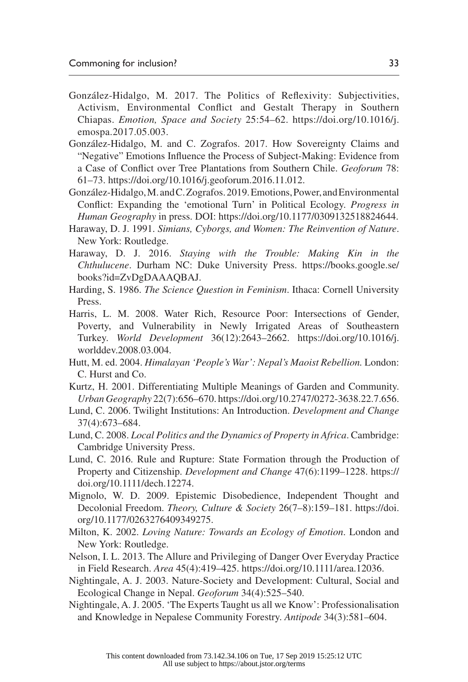- González-Hidalgo, M. 2017. The Politics of Reflexivity: Subjectivities, Activism, Environmental Conflict and Gestalt Therapy in Southern Chiapas. *Emotion, Space and Society* 25:54–62. [https://doi.org/10.1016/j.](https://doi.org/10.1016/j.emospa.2017.05.003) [emospa.2017.05.003.](https://doi.org/10.1016/j.emospa.2017.05.003)
- González-Hidalgo, M. and C. Zografos. 2017. How Sovereignty Claims and "Negative" Emotions Influence the Process of Subject-Making: Evidence from a Case of Conflict over Tree Plantations from Southern Chile. *Geoforum* 78: 61–73.<https://doi.org/10.1016/j.geoforum.2016.11.012>.
- González-Hidalgo, M. and C. Zografos. 2019. Emotions, Power, and Environmental Conflict: Expanding the 'emotional Turn' in Political Ecology. *Progress in Human Geography* in press. DOI: [https://doi.org/10.1177/0309132518824644.](https://doi.org/10.1177/0309132518824644)
- Haraway, D. J. 1991. *Simians, Cyborgs, and Women: The Reinvention of Nature*. New York: Routledge.
- Haraway, D. J. 2016. *Staying with the Trouble: Making Kin in the Chthulucene*. Durham NC: Duke University Press. [https://books.google.se/](https://books.google.se/books?id=ZvDgDAAAQBAJ) [books?id=ZvDgDAAAQBAJ.](https://books.google.se/books?id=ZvDgDAAAQBAJ)
- Harding, S. 1986. *The Science Question in Feminism*. Ithaca: Cornell University Press.
- Harris, L. M. 2008. Water Rich, Resource Poor: Intersections of Gender, Poverty, and Vulnerability in Newly Irrigated Areas of Southeastern Turkey. *World Development* 36(12):2643–2662. [https://doi.org/10.1016/j.](https://doi.org/10.1016/j.worlddev.2008.03.004) [worlddev.2008.03.004.](https://doi.org/10.1016/j.worlddev.2008.03.004)
- Hutt, M. ed. 2004. *Himalayan 'People's War': Nepal's Maoist Rebellion.* London: C. Hurst and Co.
- Kurtz, H. 2001. Differentiating Multiple Meanings of Garden and Community. *Urban Geography* 22(7):656–670.<https://doi.org/10.2747/0272-3638.22.7.656>.
- Lund, C. 2006. Twilight Institutions: An Introduction. *Development and Change* 37(4):673–684.
- Lund, C. 2008. *Local Politics and the Dynamics of Property in Africa*. Cambridge: Cambridge University Press.
- Lund, C. 2016. Rule and Rupture: State Formation through the Production of Property and Citizenship. *Development and Change* 47(6):1199–1228. [https://](https://doi.org/10.1111/dech.12274) [doi.org/10.1111/dech.12274](https://doi.org/10.1111/dech.12274).
- Mignolo, W. D. 2009. Epistemic Disobedience, Independent Thought and Decolonial Freedom. *Theory, Culture & Society* 26(7–8):159–181. [https://doi.](https://doi.org/10.1177/0263276409349275) [org/10.1177/0263276409349275](https://doi.org/10.1177/0263276409349275).
- Milton, K. 2002. *Loving Nature: Towards an Ecology of Emotion*. London and New York: Routledge.
- Nelson, I. L. 2013. The Allure and Privileging of Danger Over Everyday Practice in Field Research. *Area* 45(4):419–425. <https://doi.org/10.1111/area.12036>.
- Nightingale, A. J. 2003. Nature-Society and Development: Cultural, Social and Ecological Change in Nepal. *Geoforum* 34(4):525–540.
- Nightingale, A. J. 2005. 'The Experts Taught us all we Know': Professionalisation and Knowledge in Nepalese Community Forestry. *Antipode* 34(3):581–604.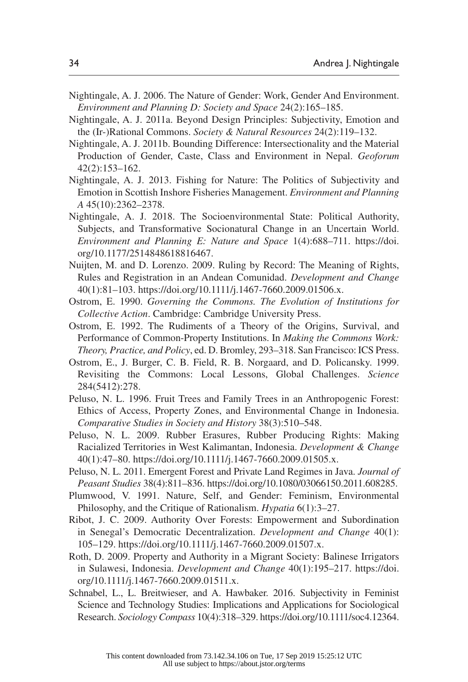- Nightingale, A. J. 2006. The Nature of Gender: Work, Gender And Environment. *Environment and Planning D: Society and Space* 24(2):165–185.
- Nightingale, A. J. 2011a. Beyond Design Principles: Subjectivity, Emotion and the (Ir-)Rational Commons. *Society & Natural Resources* 24(2):119–132.
- Nightingale, A. J. 2011b. Bounding Difference: Intersectionality and the Material Production of Gender, Caste, Class and Environment in Nepal. *Geoforum* 42(2):153–162.
- Nightingale, A. J. 2013. Fishing for Nature: The Politics of Subjectivity and Emotion in Scottish Inshore Fisheries Management. *Environment and Planning A* 45(10):2362–2378.
- Nightingale, A. J. 2018. The Socioenvironmental State: Political Authority, Subjects, and Transformative Socionatural Change in an Uncertain World. *Environment and Planning E: Nature and Space* 1(4):688–711. [https://doi.](https://doi.org/10.1177/2514848618816467) [org/10.1177/2514848618816467](https://doi.org/10.1177/2514848618816467).
- Nuijten, M. and D. Lorenzo. 2009. Ruling by Record: The Meaning of Rights, Rules and Registration in an Andean Comunidad. *Development and Change* 40(1):81–103. [https://doi.org/10.1111/j.1467-7660.2009.01506.x.](https://doi.org/10.1111/j.1467-7660.2009.01506.x)
- Ostrom, E. 1990. *Governing the Commons. The Evolution of Institutions for Collective Action*. Cambridge: Cambridge University Press.
- Ostrom, E. 1992. The Rudiments of a Theory of the Origins, Survival, and Performance of Common-Property Institutions. In *Making the Commons Work: Theory, Practice, and Policy*, ed. D. Bromley, 293–318. San Francisco: ICS Press.
- Ostrom, E., J. Burger, C. B. Field, R. B. Norgaard, and D. Policansky. 1999. Revisiting the Commons: Local Lessons, Global Challenges. *Science* 284(5412):278.
- Peluso, N. L. 1996. Fruit Trees and Family Trees in an Anthropogenic Forest: Ethics of Access, Property Zones, and Environmental Change in Indonesia. *Comparative Studies in Society and History* 38(3):510–548.
- Peluso, N. L. 2009. Rubber Erasures, Rubber Producing Rights: Making Racialized Territories in West Kalimantan, Indonesia. *Development & Change* 40(1):47–80.<https://doi.org/10.1111/j.1467-7660.2009.01505.x>.
- Peluso, N. L. 2011. Emergent Forest and Private Land Regimes in Java. *Journal of Peasant Studies* 38(4):811–836.<https://doi.org/10.1080/03066150.2011.608285>.
- Plumwood, V. 1991. Nature, Self, and Gender: Feminism, Environmental Philosophy, and the Critique of Rationalism. *Hypatia* 6(1):3–27.
- Ribot, J. C. 2009. Authority Over Forests: Empowerment and Subordination in Senegal's Democratic Decentralization. *Development and Change* 40(1): 105–129. <https://doi.org/10.1111/j.1467-7660.2009.01507.x>.
- Roth, D. 2009. Property and Authority in a Migrant Society: Balinese Irrigators in Sulawesi, Indonesia. *Development and Change* 40(1):195–217. [https://doi.](https://doi.org/10.1111/j.1467-7660.2009.01511.x) [org/10.1111/j.1467-7660.2009.01511.x](https://doi.org/10.1111/j.1467-7660.2009.01511.x).
- Schnabel, L., L. Breitwieser, and A. Hawbaker. 2016. Subjectivity in Feminist Science and Technology Studies: Implications and Applications for Sociological Research. *Sociology Compass* 10(4):318–329.<https://doi.org/10.1111/soc4.12364>.